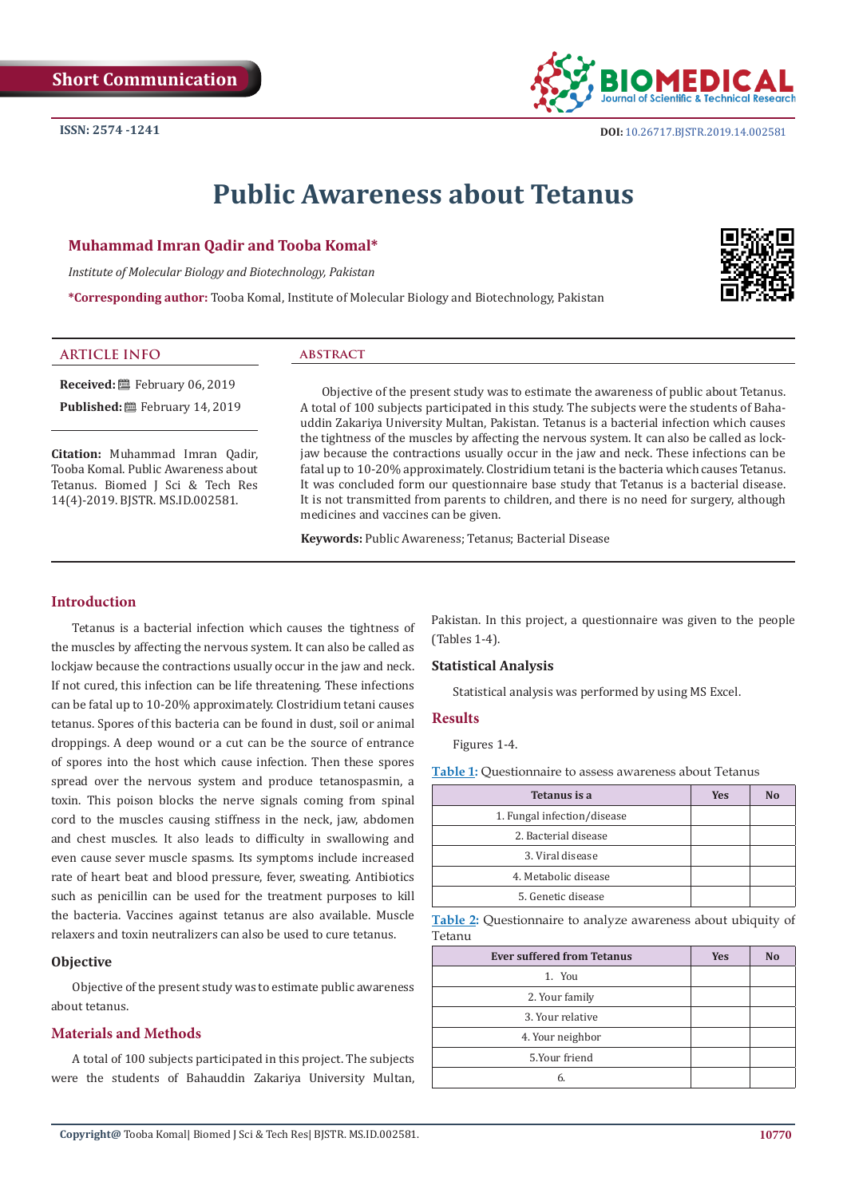# **Public Awareness about Tetanus**

#### **Muhammad Imran Qadir and Tooba Komal\***

*Institute of Molecular Biology and Biotechnology, Pakistan*

**\*Corresponding author:** Tooba Komal, Institute of Molecular Biology and Biotechnology, Pakistan

| <b>ARTICLE INFO</b>                                                    | <b>ABSTRACT</b>                                                                                                                                                                                                                                                                       |
|------------------------------------------------------------------------|---------------------------------------------------------------------------------------------------------------------------------------------------------------------------------------------------------------------------------------------------------------------------------------|
| <b>Received:</b> 巴 February 06, 2019                                   | Objective of the present study was to estimate the awareness of public about Tetanus.                                                                                                                                                                                                 |
| <b>Published:</b> 巴 February 14, 2019                                  | A total of 100 subjects participated in this study. The subjects were the students of Baha-<br>uddin Zakariya University Multan, Pakistan. Tetanus is a bacterial infection which causes                                                                                              |
| Citation: Muhammad Imran Qadir,<br>Tooba Komal, Public Awareness about | the tightness of the muscles by affecting the nervous system. It can also be called as lock-<br>jaw because the contractions usually occur in the jaw and neck. These infections can be<br>fatal up to 10-20% approximately. Clostridium tetani is the bacteria which causes Tetanus. |

medicines and vaccines can be given.

**Keywords:** Public Awareness; Tetanus; Bacterial Disease

# **Introduction**

Tetanus. Biomed J Sci & Tech Res 14(4)-2019. BJSTR. MS.ID.002581.

Tetanus is a bacterial infection which causes the tightness of the muscles by affecting the nervous system. It can also be called as lockjaw because the contractions usually occur in the jaw and neck. If not cured, this infection can be life threatening. These infections can be fatal up to 10-20% approximately. Clostridium tetani causes tetanus. Spores of this bacteria can be found in dust, soil or animal droppings. A deep wound or a cut can be the source of entrance of spores into the host which cause infection. Then these spores spread over the nervous system and produce tetanospasmin, a toxin. This poison blocks the nerve signals coming from spinal cord to the muscles causing stiffness in the neck, jaw, abdomen and chest muscles. It also leads to difficulty in swallowing and even cause sever muscle spasms. Its symptoms include increased rate of heart beat and blood pressure, fever, sweating. Antibiotics such as penicillin can be used for the treatment purposes to kill the bacteria. Vaccines against tetanus are also available. Muscle relaxers and toxin neutralizers can also be used to cure tetanus.

#### **Objective**

Objective of the present study was to estimate public awareness about tetanus.

# **Materials and Methods**

A total of 100 subjects participated in this project. The subjects were the students of Bahauddin Zakariya University Multan, Pakistan. In this project, a questionnaire was given to the people (Tables 1-4).

## **Statistical Analysis**

It was concluded form our questionnaire base study that Tetanus is a bacterial disease. It is not transmitted from parents to children, and there is no need for surgery, although

Statistical analysis was performed by using MS Excel.

#### **Results**

Figures 1-4.

**Table 1:** Questionnaire to assess awareness about Tetanus

| Tetanus is a                | <b>Yes</b> | N <sub>0</sub> |
|-----------------------------|------------|----------------|
| 1. Fungal infection/disease |            |                |
| 2. Bacterial disease        |            |                |
| 3. Viral disease            |            |                |
| 4. Metabolic disease        |            |                |
| 5. Genetic disease          |            |                |

**Table 2:** Questionnaire to analyze awareness about ubiquity of Tetanu

| <b>Ever suffered from Tetanus</b> | <b>Yes</b> | N <sub>o</sub> |
|-----------------------------------|------------|----------------|
| 1. You                            |            |                |
| 2. Your family                    |            |                |
| 3. Your relative                  |            |                |
| 4. Your neighbor                  |            |                |
| 5.Your friend                     |            |                |
| 6.                                |            |                |



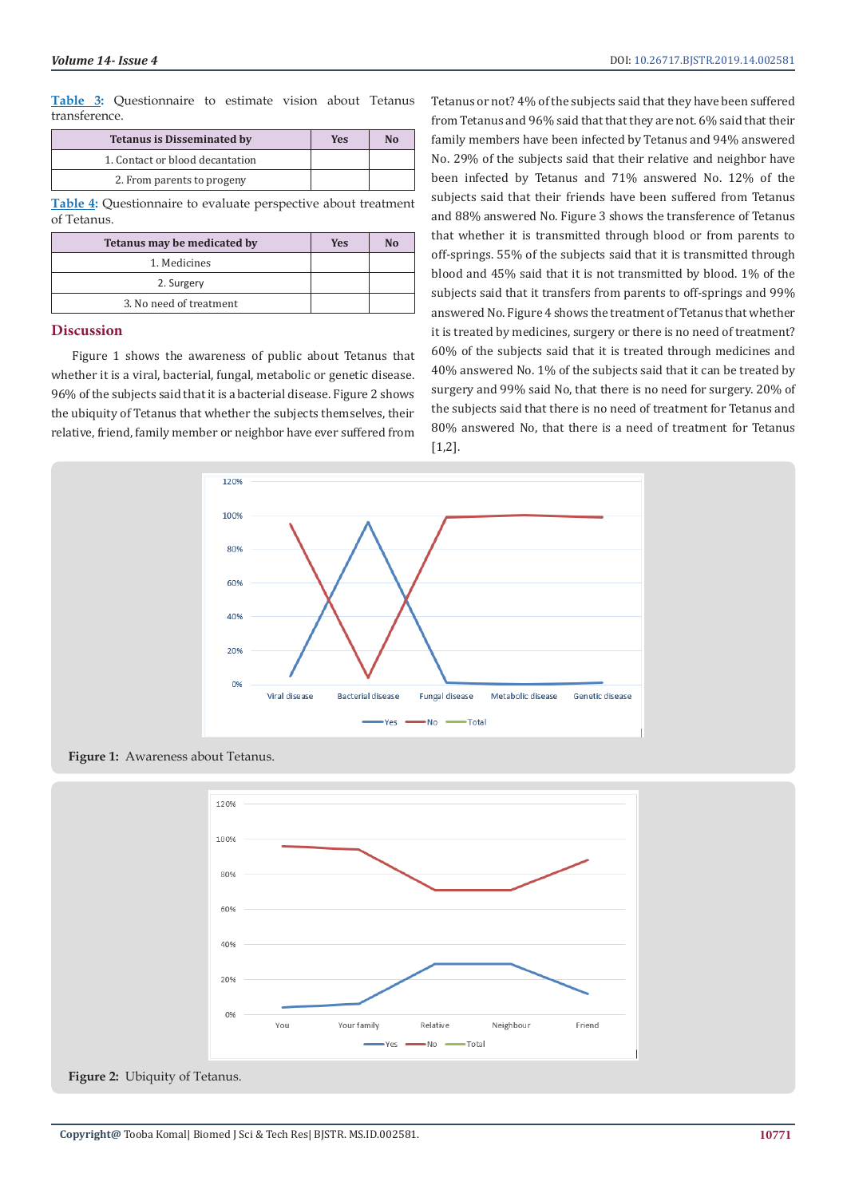**Table 3:** Questionnaire to estimate vision about Tetanus transference.

| <b>Tetanus is Disseminated by</b> | Yes | N <sub>0</sub> |
|-----------------------------------|-----|----------------|
| 1. Contact or blood decantation   |     |                |
| 2. From parents to progeny        |     |                |

**Table 4:** Questionnaire to evaluate perspective about treatment of Tetanus.

| Tetanus may be medicated by | <b>Yes</b> | No |
|-----------------------------|------------|----|
| 1. Medicines                |            |    |
| 2. Surgery                  |            |    |
| 3. No need of treatment     |            |    |

#### **Discussion**

Figure 1 shows the awareness of public about Tetanus that whether it is a viral, bacterial, fungal, metabolic or genetic disease. 96% of the subjects said that it is a bacterial disease. Figure 2 shows the ubiquity of Tetanus that whether the subjects themselves, their relative, friend, family member or neighbor have ever suffered from

Tetanus or not? 4% of the subjects said that they have been suffered from Tetanus and 96% said that that they are not. 6% said that their family members have been infected by Tetanus and 94% answered No. 29% of the subjects said that their relative and neighbor have been infected by Tetanus and 71% answered No. 12% of the subjects said that their friends have been suffered from Tetanus and 88% answered No. Figure 3 shows the transference of Tetanus that whether it is transmitted through blood or from parents to off-springs. 55% of the subjects said that it is transmitted through blood and 45% said that it is not transmitted by blood. 1% of the subjects said that it transfers from parents to off-springs and 99% answered No. Figure 4 shows the treatment of Tetanus that whether it is treated by medicines, surgery or there is no need of treatment? 60% of the subjects said that it is treated through medicines and 40% answered No. 1% of the subjects said that it can be treated by surgery and 99% said No, that there is no need for surgery. 20% of the subjects said that there is no need of treatment for Tetanus and 80% answered No, that there is a need of treatment for Tetanus [1,2].



**Figure 1:** Awareness about Tetanus.



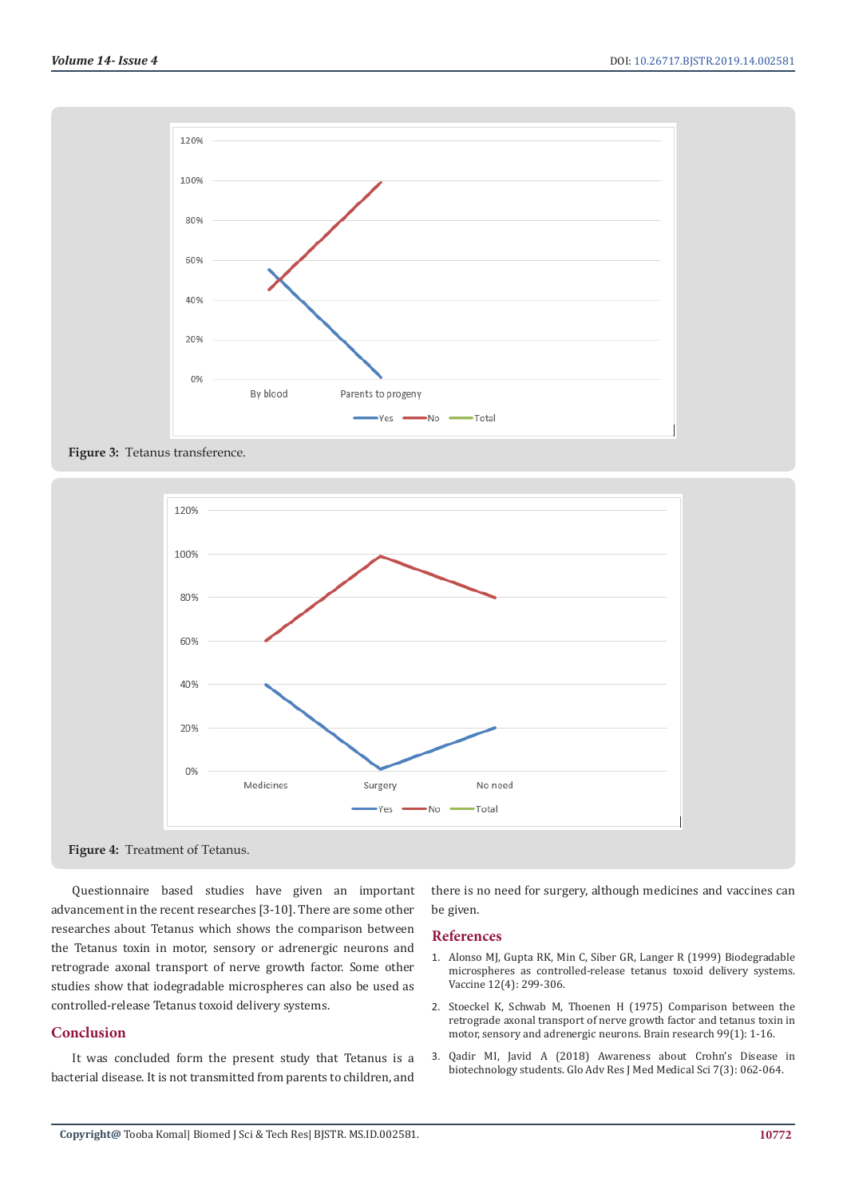







Questionnaire based studies have given an important advancement in the recent researches [3-10]. There are some other researches about Tetanus which shows the comparison between the Tetanus toxin in motor, sensory or adrenergic neurons and retrograde axonal transport of nerve growth factor. Some other studies show that iodegradable microspheres can also be used as controlled-release Tetanus toxoid delivery systems.

# **Conclusion**

It was concluded form the present study that Tetanus is a bacterial disease. It is not transmitted from parents to children, and

there is no need for surgery, although medicines and vaccines can be given.

#### **References**

- 1. Alonso MJ, Gupta RK, Min C, Siber GR, Langer R (1999) Biodegradable microspheres as controlled-release tetanus toxoid delivery systems. Vaccine 12(4): 299-306.
- 2. Stoeckel K, Schwab M, Thoenen H (1975) Comparison between the retrograde axonal transport of nerve growth factor and tetanus toxin in motor, sensory and adrenergic neurons. Brain research 99(1): 1-16.
- 3. Qadir MI, Javid A (2018) Awareness about Crohn's Disease in biotechnology students. Glo Adv Res J Med Medical Sci 7(3): 062-064.